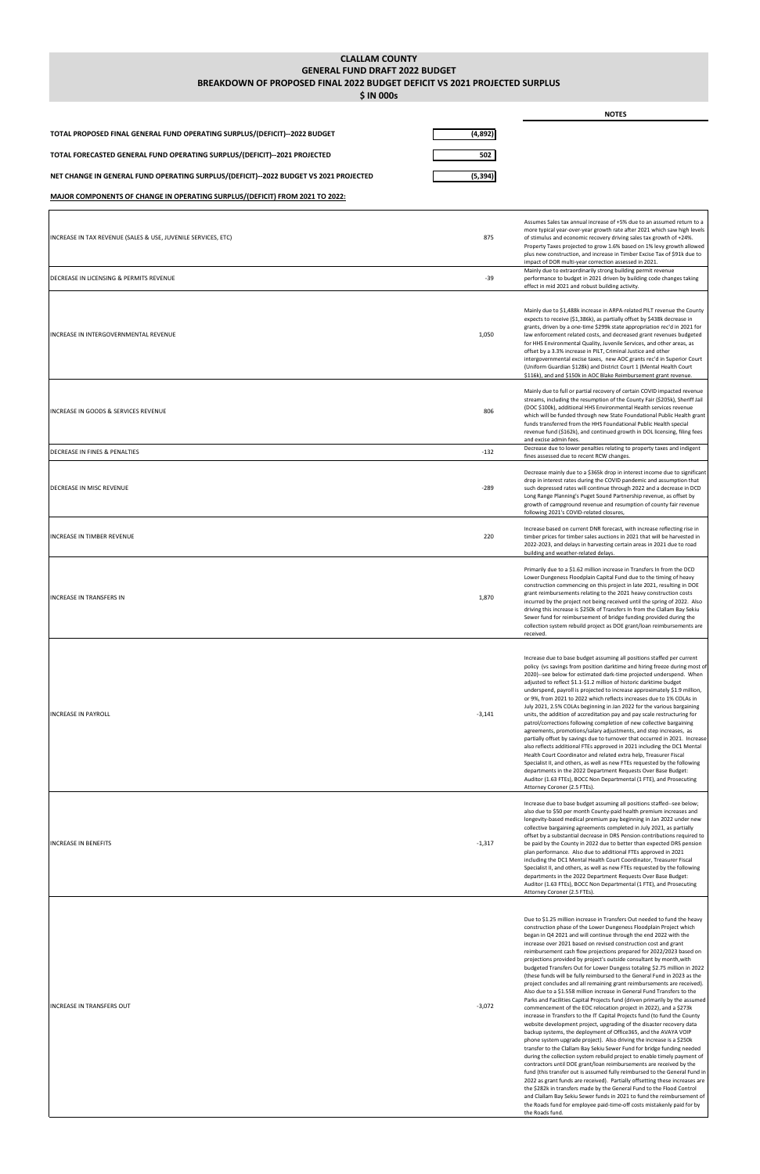## **CLALLAM COUNTY GENERAL FUND DRAFT 2022 BUDGET**

## **BREAKDOWN OF PROPOSED FINAL 2022 BUDGET DEFICIT VS 2021 PROJECTED SURPLUS**

**\$ IN 000s**

|                                                                                       |          | <b>NOTES</b>                                                                                                                                                                                                                                                                                                                                                                                                                                                                                                                                                                                                                                                                                                                                                                                                                                                                                                                                                                                                                                                                                                                                                                                                                                   |
|---------------------------------------------------------------------------------------|----------|------------------------------------------------------------------------------------------------------------------------------------------------------------------------------------------------------------------------------------------------------------------------------------------------------------------------------------------------------------------------------------------------------------------------------------------------------------------------------------------------------------------------------------------------------------------------------------------------------------------------------------------------------------------------------------------------------------------------------------------------------------------------------------------------------------------------------------------------------------------------------------------------------------------------------------------------------------------------------------------------------------------------------------------------------------------------------------------------------------------------------------------------------------------------------------------------------------------------------------------------|
| TOTAL PROPOSED FINAL GENERAL FUND OPERATING SURPLUS/(DEFICIT)--2022 BUDGET            | (4,892)  |                                                                                                                                                                                                                                                                                                                                                                                                                                                                                                                                                                                                                                                                                                                                                                                                                                                                                                                                                                                                                                                                                                                                                                                                                                                |
| TOTAL FORECASTED GENERAL FUND OPERATING SURPLUS/(DEFICIT)--2021 PROJECTED             | 502      |                                                                                                                                                                                                                                                                                                                                                                                                                                                                                                                                                                                                                                                                                                                                                                                                                                                                                                                                                                                                                                                                                                                                                                                                                                                |
| NET CHANGE IN GENERAL FUND OPERATING SURPLUS/(DEFICIT)--2022 BUDGET VS 2021 PROJECTED | (5, 394) |                                                                                                                                                                                                                                                                                                                                                                                                                                                                                                                                                                                                                                                                                                                                                                                                                                                                                                                                                                                                                                                                                                                                                                                                                                                |
| MAJOR COMPONENTS OF CHANGE IN OPERATING SURPLUS/(DEFICIT) FROM 2021 TO 2022:          |          |                                                                                                                                                                                                                                                                                                                                                                                                                                                                                                                                                                                                                                                                                                                                                                                                                                                                                                                                                                                                                                                                                                                                                                                                                                                |
| INCREASE IN TAX REVENUE (SALES & USE, JUVENILE SERVICES, ETC)                         | 875      | Assumes Sales tax annual increase of +5% due to an assumed return to a<br>more typical year-over-year growth rate after 2021 which saw high levels<br>of stimulus and economic recovery driving sales tax growth of +24%.<br>Property Taxes projected to grow 1.6% based on 1% levy growth allowed<br>plus new construction, and increase in Timber Excise Tax of \$91k due to<br>impact of DOR multi-year correction assessed in 2021.                                                                                                                                                                                                                                                                                                                                                                                                                                                                                                                                                                                                                                                                                                                                                                                                        |
| DECREASE IN LICENSING & PERMITS REVENUE                                               | -39      | Mainly due to extraordinarily strong building permit revenue<br>performance to budget in 2021 driven by building code changes taking<br>effect in mid 2021 and robust building activity.                                                                                                                                                                                                                                                                                                                                                                                                                                                                                                                                                                                                                                                                                                                                                                                                                                                                                                                                                                                                                                                       |
| INCREASE IN INTERGOVERNMENTAL REVENUE                                                 | 1,050    | Mainly due to \$1,488k increase in ARPA-related PILT revenue the County<br>expects to receive (\$1,386k), as partially offset by \$438k decrease in<br>grants, driven by a one-time \$299k state appropriation rec'd in 2021 for<br>law enforcement related costs, and decreased grant revenues budgeted<br>for HHS Environmental Quality, Juvenile Services, and other areas, as<br>offset by a 3.3% increase in PILT, Criminal Justice and other<br>intergovernmental excise taxes, new AOC grants rec'd in Superior Court<br>(Uniform Guardian \$128k) and District Court 1 (Mental Health Court<br>\$116k), and and \$150k in AOC Blake Reimbursement grant revenue.                                                                                                                                                                                                                                                                                                                                                                                                                                                                                                                                                                       |
| INCREASE IN GOODS & SERVICES REVENUE                                                  | 806      | Mainly due to full or partial recovery of certain COVID impacted revenue<br>streams, including the resumption of the County Fair (\$205k), Sheriff Jail<br>(DOC \$100k), additional HHS Environmental Health services revenue<br>which will be funded through new State Foundational Public Health grant<br>funds transferred from the HHS Foundational Public Health special<br>revenue fund (\$162k), and continued growth in DOL licensing, filing fees<br>and excise admin fees.                                                                                                                                                                                                                                                                                                                                                                                                                                                                                                                                                                                                                                                                                                                                                           |
| DECREASE IN FINES & PENALTIES                                                         | $-132$   | Decrease due to lower penalties relating to property taxes and indigent<br>fines assessed due to recent RCW changes.                                                                                                                                                                                                                                                                                                                                                                                                                                                                                                                                                                                                                                                                                                                                                                                                                                                                                                                                                                                                                                                                                                                           |
| DECREASE IN MISC REVENUE                                                              | $-289$   | Decrease mainly due to a \$365k drop in interest income due to significant<br>drop in interest rates during the COVID pandemic and assumption that<br>such depressed rates will continue through 2022 and a decrease in DCD<br>Long Range Planning's Puget Sound Partnership revenue, as offset by<br>growth of campground revenue and resumption of county fair revenue<br>following 2021's COVID-related closures,                                                                                                                                                                                                                                                                                                                                                                                                                                                                                                                                                                                                                                                                                                                                                                                                                           |
| NCREASE IN TIMBER REVENUE                                                             | 220      | Increase based on current DNR forecast, with increase reflecting rise in<br>timber prices for timber sales auctions in 2021 that will be harvested in<br>2022-2023, and delays in harvesting certain areas in 2021 due to road<br>building and weather-related delays.                                                                                                                                                                                                                                                                                                                                                                                                                                                                                                                                                                                                                                                                                                                                                                                                                                                                                                                                                                         |
| INCREASE IN TRANSFERS IN                                                              | 1,870    | Primarily due to a \$1.62 million increase in Transfers In from the DCD<br>Lower Dungeness Floodplain Capital Fund due to the timing of heavy<br>construction commencing on this project in late 2021, resulting in DOE<br>grant reimbursements relating to the 2021 heavy construction costs<br>incurred by the project not being received until the spring of 2022. Also<br>driving this increase is \$250k of Transfers In from the Clallam Bay Sekiu<br>Sewer fund for reimbursement of bridge funding provided during the<br>collection system rebuild project as DOE grant/loan reimbursements are<br>received.                                                                                                                                                                                                                                                                                                                                                                                                                                                                                                                                                                                                                          |
| <b>INCREASE IN PAYROLL</b>                                                            | $-3,141$ | Increase due to base budget assuming all positions staffed per current<br>policy (vs savings from position darktime and hiring freeze during most of<br>2020)--see below for estimated dark-time projected underspend. When<br>adjusted to reflect \$1.1-\$1.2 million of historic darktime budget<br>underspend, payroll is projected to increase approximately \$1.9 million,<br>or 9%, from 2021 to 2022 which reflects increases due to 1% COLAs in<br>July 2021, 2.5% COLAs beginning in Jan 2022 for the various bargaining<br>units, the addition of accreditation pay and pay scale restructuring for<br>patrol/corrections following completion of new collective bargaining<br>agreements, promotions/salary adjustments, and step increases, as<br>partially offset by savings due to turnover that occurred in 2021. Increase<br>also reflects additional FTEs approved in 2021 including the DC1 Mental<br>Health Court Coordinator and related extra help, Treasurer Fiscal<br>Specialist II, and others, as well as new FTEs requested by the following<br>departments in the 2022 Department Requests Over Base Budget:<br>Auditor (1.63 FTEs), BOCC Non Departmental (1 FTE), and Prosecuting<br>Attorney Coroner (2.5 FTEs). |
| INCREASE IN BENEFITS                                                                  | $-1,317$ | Increase due to base budget assuming all positions staffed--see below;<br>also due to \$50 per month County-paid health premium increases and<br>longevity-based medical premium pay beginning in Jan 2022 under new<br>collective bargaining agreements completed in July 2021, as partially<br>offset by a substantial decrease in DRS Pension contributions required to<br>be paid by the County in 2022 due to better than expected DRS pension<br>plan performance. Also due to additional FTEs approved in 2021<br>including the DC1 Mental Health Court Coordinator, Treasurer Fiscal                                                                                                                                                                                                                                                                                                                                                                                                                                                                                                                                                                                                                                                   |

Specialist II, and others, as well as new FTEs requested by the following departments in the 2022 Department Requests Over Base Budget: Auditor (1.63 FTEs), BOCC Non Departmental (1 FTE), and Prosecuting Attorney Coroner (2.5 FTEs).

Due to \$1.25 million increase in Transfers Out needed to fund the heavy construction phase of the Lower Dungeness Floodplain Project which began in Q4 2021 and will continue through the end 2022 with the increase over 2021 based on revised construction cost and grant reimbursement cash flow projections prepared for 2022/2023 based on projections provided by project's outside consultant by month,with budgeted Transfers Out for Lower Dungess totaling \$2.75 million in 2022 (these funds will be fully reimbursed to the General Fund in 2023 as the project concludes and all remaining grant reimbursements are received). Also due to a \$1.558 million increase in General Fund Transfers to the Parks and Facilities Capital Projects fund (driven primarily by the assumed commencement of the EOC relocation project in 2022), and a \$273k increase in Transfers to the IT Capital Projects fund (to fund the County website development project, upgrading of the disaster recovery data backup systems, the deployment of Office365, and the AVAYA VOIP phone system upgrade project). Also driving the increase is a \$250k transfer to the Clallam Bay Sekiu Sewer Fund for bridge funding needed during the collection system rebuild project to enable timely payment of contractors until DOE grant/loan reimbursements are received by the fund (this transfer out is assumed fully reimbursed to the General Fund in 2022 as grant funds are received). Partially offsetting these increases are the \$282k in transfers made by the General Fund to the Flood Control and Clallam Bay Sekiu Sewer funds in 2021 to fund the reimbursement of the Roads fund for employee paid-time-off costs mistakenly paid for by the Roads fund.

INCREASE IN TRANSFERS OUT A CONSIDERED ASSAULT AND RELEASE ON THE SERVICE OF STATISTIC ASSAULT AND RELEASE IN TRANSFERS OUT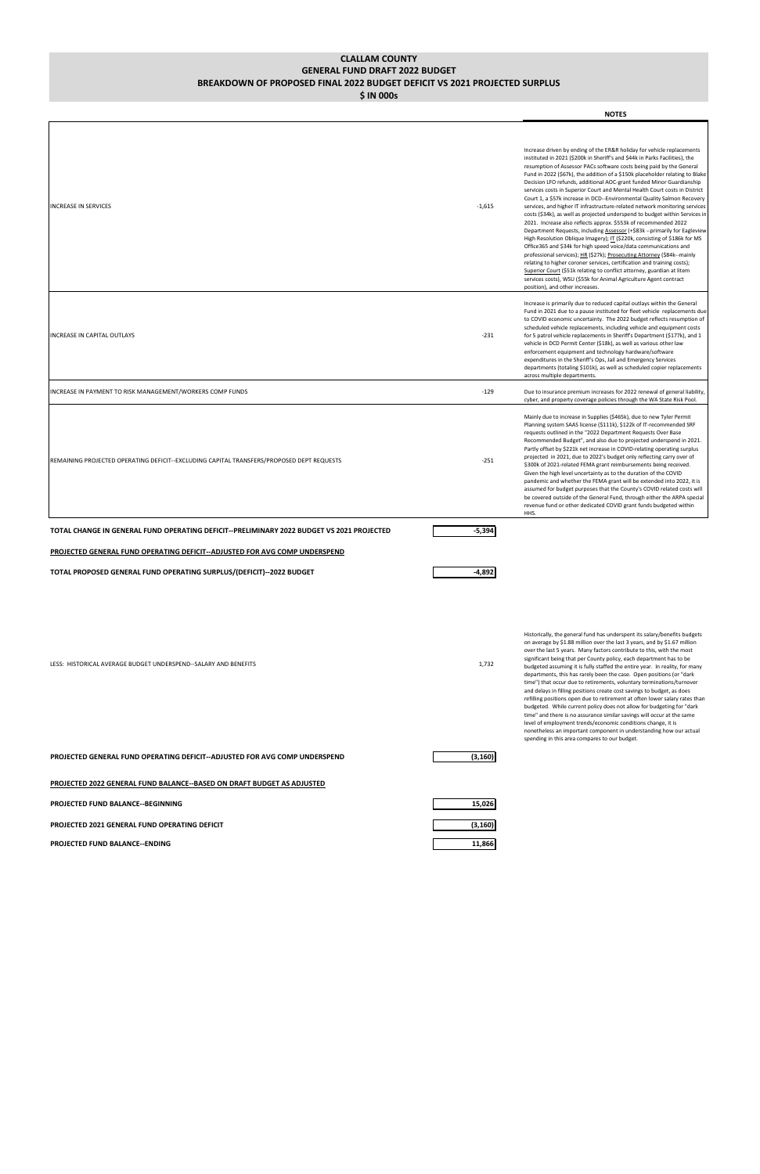**CLALLAM COUNTY GENERAL FUND DRAFT 2022 BUDGET BREAKDOWN OF PROPOSED FINAL 2022 BUDGET DEFICIT VS 2021 PROJECTED SURPLUS**

**\$ IN 000s**

|                                                                                           |          | <b>NOTES</b>                                                                                                                                                                                                                                                                                                                                                                                                                                                                                                                                                                                                                                                                                                                                                                                                                                                                                                                                                                                                                                                                                                                                                                                                                                                                                                                                         |
|-------------------------------------------------------------------------------------------|----------|------------------------------------------------------------------------------------------------------------------------------------------------------------------------------------------------------------------------------------------------------------------------------------------------------------------------------------------------------------------------------------------------------------------------------------------------------------------------------------------------------------------------------------------------------------------------------------------------------------------------------------------------------------------------------------------------------------------------------------------------------------------------------------------------------------------------------------------------------------------------------------------------------------------------------------------------------------------------------------------------------------------------------------------------------------------------------------------------------------------------------------------------------------------------------------------------------------------------------------------------------------------------------------------------------------------------------------------------------|
| INCREASE IN SERVICES                                                                      | $-1,615$ | Increase driven by ending of the ER&R holiday for vehicle replacements<br>instituted in 2021 (\$200k in Sheriff's and \$44k in Parks Facilities), the<br>resumption of Assessor PACs software costs being paid by the General<br>Fund in 2022 (\$67k), the addition of a \$150k placeholder relating to Blake<br>Decision LFO refunds, additional AOC-grant funded Minor Guardianship<br>services costs in Superior Court and Mental Health Court costs in District<br>Court 1, a \$57k increase in DCD--Environmental Quality Salmon Recovery<br>services, and higher IT infrastructure-related network monitoring services<br>costs (\$34k), as well as projected underspend to budget within Services in<br>2021. Increase also reflects approx. \$553k of recommended 2022<br>Department Requests, including Assessor (+\$83k --primarily for Eagleview<br>High Resolution Oblique Imagery); IT (\$220k, consisting of \$186k for MS<br>Office365 and \$34k for high speed voice/data communications and<br>professional services); HR (\$27k); Prosecuting Attorney (\$84k--mainly<br>relating to higher coroner services, certification and training costs);<br>Superior Court (\$51k relating to conflict attorney, guardian at litem<br>services costs), WSU (\$55k for Animal Agriculture Agent contract<br>position), and other increases. |
| <b>INCREASE IN CAPITAL OUTLAYS</b>                                                        | $-231$   | Increase is primarily due to reduced capital outlays within the General<br>Fund in 2021 due to a pause instituted for fleet vehicle replacements due<br>to COVID economic uncertainty. The 2022 budget reflects resumption of<br>scheduled vehicle replacements, including vehicle and equipment costs<br>for 5 patrol vehicle replacements in Sheriff's Department (\$177k), and 1<br>vehicle in DCD Permit Center (\$18k), as well as various other law<br>enforcement equipment and technology hardware/software<br>expenditures in the Sheriff's Ops, Jail and Emergency Services<br>departments (totaling \$101k), as well as scheduled copier replacements<br>across multiple departments.                                                                                                                                                                                                                                                                                                                                                                                                                                                                                                                                                                                                                                                     |
| INCREASE IN PAYMENT TO RISK MANAGEMENT/WORKERS COMP FUNDS                                 | $-129$   | Due to insurance premium increases for 2022 renewal of general liability,<br>cyber, and property coverage policies through the WA State Risk Pool.                                                                                                                                                                                                                                                                                                                                                                                                                                                                                                                                                                                                                                                                                                                                                                                                                                                                                                                                                                                                                                                                                                                                                                                                   |
| REMAINING PROJECTED OPERATING DEFICIT--EXCLUDING CAPITAL TRANSFERS/PROPOSED DEPT REQUESTS | $-251$   | Mainly due to increase in Supplies (\$465k), due to new Tyler Permit<br>Planning system SAAS license (\$111k), \$122k of IT-recommended SRF<br>requests outlined in the "2022 Department Requests Over Base<br>Recommended Budget", and also due to projected underspend in 2021.<br>Partly offset by \$221k net increase in COVID-relating operating surplus<br>projected in 2021, due to 2022's budget only reflecting carry over of<br>\$300k of 2021-related FEMA grant reimbursements being received.<br>Given the high level uncertainty as to the duration of the COVID<br>pandemic and whether the FEMA grant will be extended into 2022, it is<br>assumed for budget purposes that the County's COVID related costs will<br>be covered outside of the General Fund, through either the ARPA special<br>revenue fund or other dedicated COVID grant funds budgeted within<br>HHS.                                                                                                                                                                                                                                                                                                                                                                                                                                                            |
| TOTAL CHANGE IN GENERAL FUND OPERATING DEFICIT--PRELIMINARY 2022 BUDGET VS 2021 PROJECTED | $-5,394$ |                                                                                                                                                                                                                                                                                                                                                                                                                                                                                                                                                                                                                                                                                                                                                                                                                                                                                                                                                                                                                                                                                                                                                                                                                                                                                                                                                      |
| PROJECTED GENERAL FUND OPERATING DEFICIT--ADJUSTED FOR AVG COMP UNDERSPEND                |          |                                                                                                                                                                                                                                                                                                                                                                                                                                                                                                                                                                                                                                                                                                                                                                                                                                                                                                                                                                                                                                                                                                                                                                                                                                                                                                                                                      |
| TOTAL PROPOSED GENERAL FUND OPERATING SURPLUS/(DEFICIT)--2022 BUDGET                      | -4,892   |                                                                                                                                                                                                                                                                                                                                                                                                                                                                                                                                                                                                                                                                                                                                                                                                                                                                                                                                                                                                                                                                                                                                                                                                                                                                                                                                                      |
| LESS: HISTORICAL AVERAGE BUDGET UNDERSPEND--SALARY AND BENEFITS                           | 1,732    | Historically, the general fund has underspent its salary/benefits budgets<br>on average by \$1.88 million over the last 3 years, and by \$1.67 million<br>over the last 5 years. Many factors contribute to this, with the most<br>significant being that per County policy, each department has to be<br>budgeted assuming it is fully staffed the entire year. In reality, for many<br>departments, this has rarely been the case. Open positions (or "dark<br>time") that occur due to retirements, voluntary terminations/turnover<br>and delays in filling positions create cost savings to budget, as does<br>refilling positions open due to retirement at often lower salary rates than<br>budgeted. While current policy does not allow for budgeting for "dark<br>time" and there is no assurance similar savings will occur at the same<br>level of employment trends/economic conditions change, it is<br>nonetheless an important component in understanding how our actual<br>spending in this area compares to our budget.                                                                                                                                                                                                                                                                                                            |
| PROJECTED GENERAL FUND OPERATING DEFICIT--ADJUSTED FOR AVG COMP UNDERSPEND                | (3, 160) |                                                                                                                                                                                                                                                                                                                                                                                                                                                                                                                                                                                                                                                                                                                                                                                                                                                                                                                                                                                                                                                                                                                                                                                                                                                                                                                                                      |
| PROJECTED 2022 GENERAL FUND BALANCE--BASED ON DRAFT BUDGET AS ADJUSTED                    |          |                                                                                                                                                                                                                                                                                                                                                                                                                                                                                                                                                                                                                                                                                                                                                                                                                                                                                                                                                                                                                                                                                                                                                                                                                                                                                                                                                      |
| PROJECTED FUND BALANCE--BEGINNING                                                         | 15,026   |                                                                                                                                                                                                                                                                                                                                                                                                                                                                                                                                                                                                                                                                                                                                                                                                                                                                                                                                                                                                                                                                                                                                                                                                                                                                                                                                                      |
| PROJECTED 2021 GENERAL FUND OPERATING DEFICIT                                             | (3, 160) |                                                                                                                                                                                                                                                                                                                                                                                                                                                                                                                                                                                                                                                                                                                                                                                                                                                                                                                                                                                                                                                                                                                                                                                                                                                                                                                                                      |

**PROJECTED FUND BALANCE--ENDING 11,866**